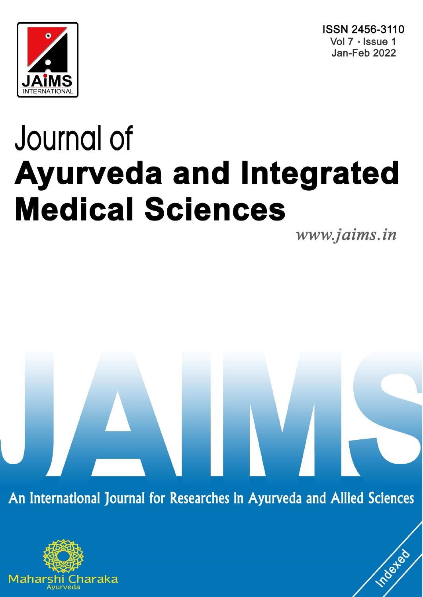



# Journal of **Ayurveda and Integrated Medical Sciences**

www.jaims.in

roated

An International Journal for Researches in Ayurveda and Allied Sciences

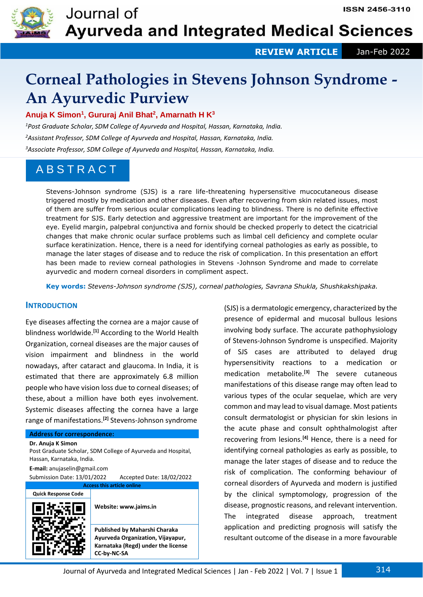

 **REVIEW ARTICLE** Jan-Feb 2022

# **Corneal Pathologies in Stevens Johnson Syndrome - An Ayurvedic Purview**

**Anuja K Simon<sup>1</sup> , Gururaj Anil Bhat<sup>2</sup> , Amarnath H K<sup>3</sup>**

*<sup>1</sup>Post Graduate Scholar, SDM College of Ayurveda and Hospital, Hassan, Karnataka, India. <sup>2</sup>Assistant Professor, SDM College of Ayurveda and Hospital, Hassan, Karnataka, India. <sup>3</sup>Associate Professor, SDM College of Ayurveda and Hospital, Hassan, Karnataka, India.*

## A B S T R A C T

Stevens-Johnson syndrome (SJS) is a rare life-threatening hypersensitive mucocutaneous disease triggered mostly by medication and other diseases. Even after recovering from skin related issues, most of them are suffer from serious ocular complications leading to blindness. There is no definite effective treatment for SJS. Early detection and aggressive treatment are important for the improvement of the eye. Eyelid margin, palpebral conjunctiva and fornix should be checked properly to detect the cicatricial changes that make chronic ocular surface problems such as limbal cell deficiency and complete ocular surface keratinization. Hence, there is a need for identifying corneal pathologies as early as possible, to manage the later stages of disease and to reduce the risk of complication. In this presentation an effort has been made to review corneal pathologies in Stevens -Johnson Syndrome and made to correlate ayurvedic and modern corneal disorders in compliment aspect.

**Key words:** *Stevens-Johnson syndrome (SJS), corneal pathologies, Savrana Shukla, Shushkakshipaka.*

### **INTRODUCTION**

Eye diseases affecting the cornea are a major cause of blindness worldwide.**[1]** According to the World Health Organization, corneal diseases are the major causes of vision impairment and blindness in the world nowadays, after cataract and glaucoma. In India, it is estimated that there are approximately 6.8 million people who have vision loss due to corneal diseases; of these, about a million have both eyes involvement. Systemic diseases affecting the cornea have a large range of manifestations.**[2]** Stevens-Johnson syndrome

#### **Address for correspondence:**

**Dr. Anuja K Simon**

Post Graduate Scholar, SDM College of Ayurveda and Hospital, Hassan, Karnataka, India.

**E-mail:** anujaselin@gmail.com

Submission Date: 13/01/2022 Accepted Date: 18/02/2022 **Access this article online**

**CC-by-NC-SA**

**Quick Response Code**



**Website: www.jaims.in Published by Maharshi Charaka Ayurveda Organization, Vijayapur, Karnataka (Regd) under the license**  (SJS) is a dermatologic emergency, characterized by the presence of epidermal and mucosal bullous lesions involving body surface. The accurate pathophysiology of Stevens-Johnson Syndrome is unspecified. Majority of SJS cases are attributed to delayed drug hypersensitivity reactions to a medication or medication metabolite.**[3]** The severe cutaneous manifestations of this disease range may often lead to various types of the ocular sequelae, which are very common and may lead to visual damage. Most patients consult dermatologist or physician for skin lesions in the acute phase and consult ophthalmologist after recovering from lesions.**[4]** Hence, there is a need for identifying corneal pathologies as early as possible, to manage the later stages of disease and to reduce the risk of complication. The conforming behaviour of corneal disorders of Ayurveda and modern is justified by the clinical symptomology, progression of the disease, prognostic reasons, and relevant intervention. The integrated disease approach, treatment application and predicting prognosis will satisfy the resultant outcome of the disease in a more favourable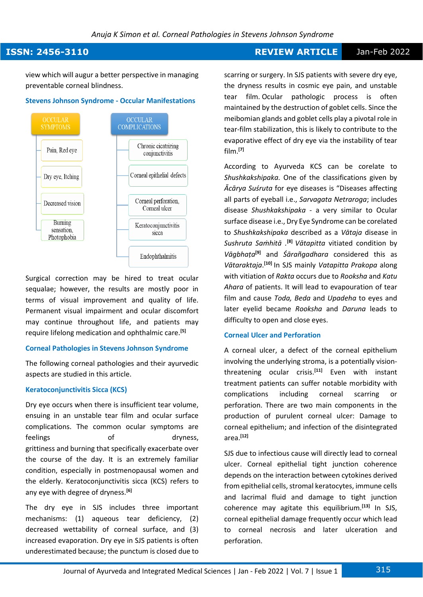#### *Anuja K Simon et al. Corneal Pathologies in Stevens Johnson Syndrome*

### **ISSN: 2456-3110 REVIEW ARTICLE** Jan-Feb 2022

view which will augur a better perspective in managing preventable corneal blindness.

#### **Stevens Johnson Syndrome - Occular Manifestations**



Surgical correction may be hired to treat ocular sequalae; however, the results are mostly poor in terms of visual improvement and quality of life. Permanent visual impairment and ocular discomfort may continue throughout life, and patients may require lifelong medication and ophthalmic care.**[5]**

#### **Corneal Pathologies in Stevens Johnson Syndrome**

The following corneal pathologies and their ayurvedic aspects are studied in this article.

#### **Keratoconjunctivitis Sicca (KCS)**

Dry eye occurs when there is insufficient tear volume, ensuing in an unstable tear film and ocular surface complications. The common ocular symptoms are feelings of dryness, grittiness and burning that specifically exacerbate over the course of the day. It is an extremely familiar condition, especially in postmenopausal women and the elderly. Keratoconjunctivitis sicca (KCS) refers to any eye with degree of dryness.**[6]**

The dry eye in SJS includes three important mechanisms: (1) aqueous tear deficiency, (2) decreased wettability of corneal surface, and (3) increased evaporation. Dry eye in SJS patients is often underestimated because; the punctum is closed due to

scarring or surgery. In SJS patients with severe dry eye, the dryness results in cosmic eye pain, and unstable tear film. Ocular pathologic process is often maintained by the destruction of goblet cells. Since the meibomian glands and goblet cells play a pivotal role in tear-film stabilization, this is likely to contribute to the evaporative effect of dry eye via the instability of tear film.**[7]**

According to Ayurveda KCS can be corelate to *Shushkakshipaka.* One of the classifications given by *Ācārya Suśruta* for eye diseases is "Diseases affecting all parts of eyeball i.e., *Sarvagata Netraroga*; includes disease *Shushkakshipaka* - a very similar to Ocular surface disease i.e., Dry Eye Syndrome can be corelated to *Shushkakshipaka* described as a *Vātaja* disease in *Sushruta Saṁhitā .***[8]** *Vātapitta* vitiated condition by *Vāgbhaṭa* **[9]** and *Śārañgadhara* considered this as *Vātaraktaja*. **[10]** In SJS mainly *Vatapitta Prakopa* along with vitiation of *Rakta* occurs due to *Rooksha* and *Katu Ahara* of patients. It will lead to evapouration of tear film and cause *Toda, Beda* and *Upadeha* to eyes and later eyelid became *Rooksha* and *Daruna* leads to difficulty to open and close eyes.

#### **Corneal Ulcer and Perforation**

A corneal ulcer, a defect of the corneal epithelium involving the underlying stroma, is a potentially visionthreatening ocular crisis.**[11]** Even with instant treatment patients can suffer notable morbidity with complications including corneal scarring or perforation. There are two main components in the production of purulent corneal ulcer: Damage to corneal epithelium; and infection of the disintegrated area.**[12]**

SJS due to infectious cause will directly lead to corneal ulcer. Corneal epithelial tight junction coherence depends on the interaction between cytokines derived from epithelial cells, stromal keratocytes, immune cells and lacrimal fluid and damage to tight junction coherence may agitate this equilibrium.**[13]** In SJS, corneal epithelial damage frequently occur which lead to corneal necrosis and later ulceration and perforation.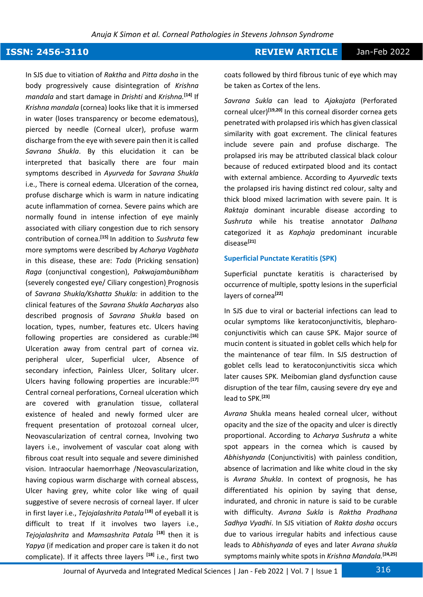### **ISSN: 2456-3110 REVIEW ARTICLE** Jan-Feb 2022

In SJS due to vitiation of *Raktha* and *Pitta dosha* in the body progressively cause disintegration of *Krishna mandala* and start damage in *Drishti* and *Krishna.***[14]** If *Krishna mandala* (cornea) looks like that it is immersed in water (loses transparency or become edematous), pierced by needle (Corneal ulcer), profuse warm discharge from the eye with severe pain then it is called *Savrana Shukla*. By this elucidation it can be interpreted that basically there are four main symptoms described in *Ayurveda* for *Savrana Shukla*  i.e., There is corneal edema. Ulceration of the cornea, profuse discharge which is warm in nature indicating acute inflammation of cornea. Severe pains which are normally found in intense infection of eye mainly associated with ciliary congestion due to rich sensory contribution of cornea.**[15]** In addition to *Sushruta* few more symptoms were described by *Acharya Vagbhata*  in this disease, these are: *Toda* (Pricking sensation) *Raga* (conjunctival congestion), *Pakwajambunibham*  (severely congested eye/ Ciliary congestion) Prognosis of *Savrana Shukla/Kshatta Shukla:* in addition to the clinical features of the *Savrana Shukla Aacharyas* also described prognosis of *Savrana Shukla* based on location, types, number, features etc. Ulcers having following properties are considered as curable:**[16]** Ulceration away from central part of cornea viz. peripheral ulcer, Superficial ulcer, Absence of secondary infection, Painless Ulcer, Solitary ulcer. Ulcers having following properties are incurable:**[17]** Central corneal perforations, Corneal ulceration which are covered with granulation tissue, collateral existence of healed and newly formed ulcer are frequent presentation of protozoal corneal ulcer, Neovascularization of central cornea, Involving two layers i.e., involvement of vascular coat along with fibrous coat result into sequale and severe diminished vision. Intraocular haemorrhage /Neovascularization, having copious warm discharge with corneal abscess, Ulcer having grey, white color like wing of quail suggestive of severe necrosis of corneal layer. If ulcer in first layer i.e., *Tejojalashrita Patala* **[18]** of eyeball it is difficult to treat If it involves two layers i.e., *Tejojalashrita* and *Mamsashrita Patala* **[18]** then it is *Yapya* (if medication and proper care is taken it do not complicate). If it affects three layers **[18]** i.e., first two

coats followed by third fibrous tunic of eye which may be taken as Cortex of the lens.

*Savrana Sukla* can lead to *Ajakajata* (Perforated corneal ulcer)**[19,20]** In this corneal disorder cornea gets penetrated with prolapsed iris which has given classical similarity with goat excrement. The clinical features include severe pain and profuse discharge. The prolapsed iris may be attributed classical black colour because of reduced extirpated blood and its contact with external ambience. According to *Ayurvedic* texts the prolapsed iris having distinct red colour, salty and thick blood mixed lacrimation with severe pain. It is *Raktaja* dominant incurable disease according to *Sushruta* while his treatise annotator *Dalhana*  categorized it as *Kaphaja* predominant incurable disease**[21]**

#### **Superficial Punctate Keratitis (SPK)**

Superficial punctate keratitis is characterised by occurrence of multiple, spotty lesions in the superficial layers of cornea**[22]**

In SJS due to viral or bacterial infections can lead to ocular symptoms like keratoconjunctivitis, blepharoconjunctivitis which can cause SPK. Major source of mucin content is situated in goblet cells which help for the maintenance of tear film. In SJS destruction of goblet cells lead to keratoconjunctivitis sicca which later causes SPK. Meibomian gland dysfunction cause disruption of the tear film, causing severe dry eye and lead to SPK.**[23]**

*Avrana* Shukla means healed corneal ulcer, without opacity and the size of the opacity and ulcer is directly proportional. According to *Acharya Sushruta* a white spot appears in the cornea which is caused by *Abhishyanda* (Conjunctivitis) with painless condition, absence of lacrimation and like white cloud in the sky is *Avrana Shukla*. In context of prognosis, he has differentiated his opinion by saying that dense, indurated, and chronic in nature is said to be curable with difficulty. *Avrana Sukla* is *Raktha Pradhana Sadhya Vyadhi*. In SJS vitiation of *Rakta dosha* occurs due to various irregular habits and infectious cause leads to *Abhishyanda* of eyes and later *Avrana shukla* symptoms mainly white spots in *Krishna Mandala.***[24,25]**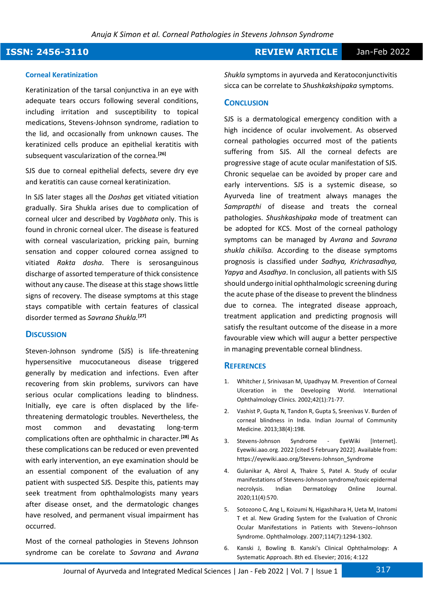### **ISSN: 2456-3110 REVIEW ARTICLE** Jan-Feb 2022

#### **Corneal Keratinization**

Keratinization of the tarsal conjunctiva in an eye with adequate tears occurs following several conditions, including irritation and susceptibility to topical medications, Stevens-Johnson syndrome, radiation to the lid, and occasionally from unknown causes. The keratinized cells produce an epithelial keratitis with subsequent vascularization of the cornea.**[26]**

SJS due to corneal epithelial defects, severe dry eye and keratitis can cause corneal keratinization.

In SJS later stages all the *Doshas* get vitiated vitiation gradually. Sira Shukla arises due to complication of corneal ulcer and described by *Vagbhata* only. This is found in chronic corneal ulcer. The disease is featured with corneal vascularization, pricking pain, burning sensation and copper coloured cornea assigned to vitiated *Rakta dosha*. There is serosanguinous discharge of assorted temperature of thick consistence without any cause. The disease at this stage shows little signs of recovery. The disease symptoms at this stage stays compatible with certain features of classical disorder termed as *Savrana Shukla.***[27]**

#### **DISCUSSION**

Steven-Johnson syndrome (SJS) is life-threatening hypersensitive mucocutaneous disease triggered generally by medication and infections. Even after recovering from skin problems, survivors can have serious ocular complications leading to blindness. Initially, eye care is often displaced by the lifethreatening dermatologic troubles. Nevertheless, the most common and devastating long-term complications often are ophthalmic in character.**[28]** As these complications can be reduced or even prevented with early intervention, an eye examination should be an essential component of the evaluation of any patient with suspected SJS. Despite this, patients may seek treatment from ophthalmologists many years after disease onset, and the dermatologic changes have resolved, and permanent visual impairment has occurred.

Most of the corneal pathologies in Stevens Johnson syndrome can be corelate to *Savrana* and *Avrana*  *Shukla* symptoms in ayurveda and Keratoconjunctivitis sicca can be correlate to *Shushkakshipaka* symptoms.

#### **CONCLUSION**

SJS is a dermatological emergency condition with a high incidence of ocular involvement. As observed corneal pathologies occurred most of the patients suffering from SJS. All the corneal defects are progressive stage of acute ocular manifestation of SJS. Chronic sequelae can be avoided by proper care and early interventions. SJS is a systemic disease, so Ayurveda line of treatment always manages the *Samprapthi* of disease and treats the corneal pathologies. *Shushkashipaka* mode of treatment can be adopted for KCS. Most of the corneal pathology symptoms can be managed by *Avrana* and *Savrana shukla chikilsa.* According to the disease symptoms prognosis is classified under *Sadhya, Krichrasadhya, Yapya* and *Asadhya*. In conclusion, all patients with SJS should undergo initial ophthalmologic screening during the acute phase of the disease to prevent the blindness due to cornea. The integrated disease approach, treatment application and predicting prognosis will satisfy the resultant outcome of the disease in a more favourable view which will augur a better perspective in managing preventable corneal blindness.

#### **REFERENCES**

- 1. Whitcher J, Srinivasan M, Upadhyay M. Prevention of Corneal Ulceration in the Developing World. International Ophthalmology Clinics. 2002;42(1):71-77.
- 2. Vashist P, Gupta N, Tandon R, Gupta S, Sreenivas V. Burden of corneal blindness in India. Indian Journal of Community Medicine. 2013;38(4):198.
- 3. Stevens-Johnson Syndrome EyeWiki [Internet]. Eyewiki.aao.org. 2022 [cited 5 February 2022]. Available from: https://eyewiki.aao.org/Stevens-Johnson\_Syndrome
- 4. Gulanikar A, Abrol A, Thakre S, Patel A. Study of ocular manifestations of Stevens-Johnson syndrome/toxic epidermal necrolysis. Indian Dermatology Online Journal. 2020;11(4):570.
- 5. Sotozono C, Ang L, Koizumi N, Higashihara H, Ueta M, Inatomi T et al. New Grading System for the Evaluation of Chronic Ocular Manifestations in Patients with Stevens–Johnson Syndrome. Ophthalmology. 2007;114(7):1294-1302.
- 6. Kanski J, Bowling B. Kanski's Clinical Ophthalmology: A Systematic Approach. 8th ed. Elsevier; 2016; 4:122